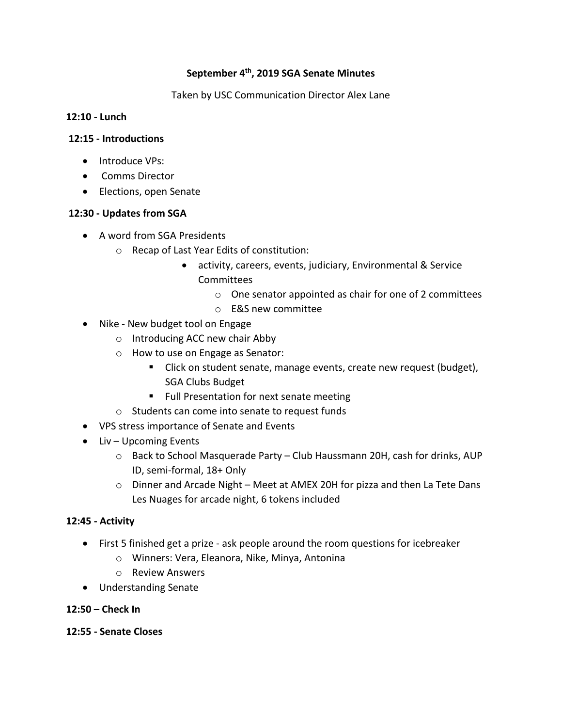# **September 4th, 2019 SGA Senate Minutes**

Taken by USC Communication Director Alex Lane

### **12:10 - Lunch**

### **12:15 - Introductions**

- Introduce VPs:
- Comms Director
- Elections, open Senate

# **12:30 - Updates from SGA**

- A word from SGA Presidents
	- o Recap of Last Year Edits of constitution:
		- activity, careers, events, judiciary, Environmental & Service Committees
			- o One senator appointed as chair for one of 2 committees
			- o E&S new committee
- Nike New budget tool on Engage
	- o Introducing ACC new chair Abby
	- o How to use on Engage as Senator:
		- Click on student senate, manage events, create new request (budget), SGA Clubs Budget
		- Full Presentation for next senate meeting
	- o Students can come into senate to request funds
- VPS stress importance of Senate and Events
- Liv Upcoming Events
	- o Back to School Masquerade Party Club Haussmann 20H, cash for drinks, AUP ID, semi-formal, 18+ Only
	- o Dinner and Arcade Night Meet at AMEX 20H for pizza and then La Tete Dans Les Nuages for arcade night, 6 tokens included

# **12:45 - Activity**

- First 5 finished get a prize ask people around the room questions for icebreaker
	- o Winners: Vera, Eleanora, Nike, Minya, Antonina
	- o Review Answers
- Understanding Senate

# **12:50 – Check In**

# **12:55 - Senate Closes**